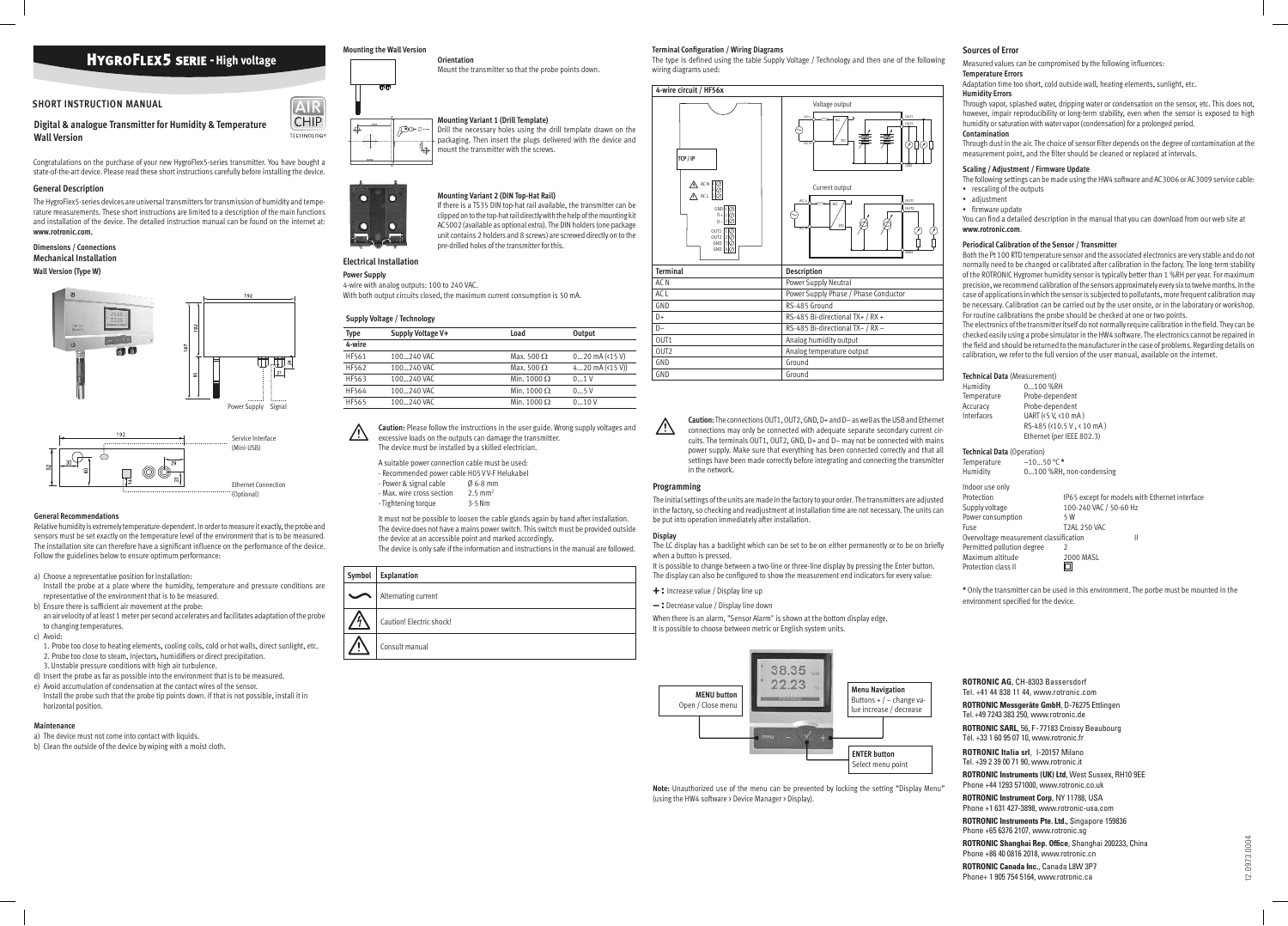**ROTRONIC AG**, CH-8303 Bassersdorf Tel. +41 44 838 11 44, www.rotronic.com **ROTRONIC Messgeräte GmbH**, D-76275 Ettlingen Tel. +49 7243 383 250, www.rotronic.de **ROTRONIC SARL**, 56, F - 77183 Croissy Beaubourg Tél. +33 1 60 95 07 10, www.rotronic.fr **ROTRONIC Italia srl**, I-20157 Milano Tel. +39 2 39 00 71 90, www.rotronic.it **ROTRONIC Instruments (UK) Ltd**, West Sussex, RH10 9EE Phone +44 1293 571000, www.rotronic.co.uk **ROTRONIC Instrument Corp**, NY 11788, USA Phone +1 631 427-3898, www.rotronic-usa.com **ROTRONIC Instruments Pte. Ltd.,** Singapore 159836 Phone +65 6376 2107, www.rotronic.sg **ROTRONIC Shanghai Rep. Office**, Shanghai 200233, China Phone +86 40 0816 2018, www.rotronic.cn **ROTRONIC Canada Inc.**, Canada L8W 3P7 Phone+ 1 905 754 5164, www.rotronic.ca

**Digital & analogue Transmitter for Humidity & Temperature Wall Version**

Congratulations on the purchase of your new HygroFlex5-series transmitter. You have bought a state-of-the-art device. Please read these short instructions carefully before installing the device.

#### **General Description**

The HygroFlex5-series devices are universal transmitters for transmission of humidity and temperature measurements. These short instructions are limited to a description of the main functions and installation of the device. The detailed instruction manual can be found on the internet at: **www.rotronic.com.**

#### **Dimensions / Connections Mechanical Installation Wall Version (Type W)**

#### **General Recommendations**

Relative humidity is extremely temperature-dependent. In order to measure it exactly, the probe and sensors must be set exactly on the temperature level of the environment that is to be measured. The installation site can therefore have a significant influence on the performance of the device. Follow the guidelines below to ensure optimum performance:

 $\overline{\mathbb{A}}$ **Caution:** Please follow the instructions in the user guide. Wrong supply voltages and excessive loads on the outputs can damage the transmitter. The device must be installed by a skilled electrician.

A suitable power connection cable must be used: - Recommended power cable H05 V V-F Helukabel - Power & signal cable Ø 6-8 mm - Max. wire cross section 2.5 mm<sup>2</sup><br>- Tightening torque 3-5 Nm - Tightening torque

- a) Choose a representative position for installation: Install the probe at a place where the humidity, temperature and pressure conditions are representative of the environment that is to be measured.
- b) Ensure there is suficient air movement at the probe:
- an air velocity of at least 1 meter per second accelerates and facilitates adaptation of the probe to changing temperatures.
- c) Avoid:
- 1. Probe too close to heating elements, cooling coils, cold or hot walls, direct sunlight, etc. 2. Probe too close to steam, injectors, humidifiers or direct precipitation.
- 3. Unstable pressure conditions with high air turbulence.
- d) Insert the probe as far as possible into the environment that is to be measured.
- e) Avoid accumulation of condensation at the contact wires of the sensor. Install the probe such that the probe tip points down. If that is not possible, install it in horizontal position.

It is possible to change between a two-line or three-line display by pressing the Enter button. The display can also be configured to show the measurement end indicators for every value:

#### **Maintenance**

- a) The device must not come into contact with liquids.
- b) Clean the outside of the device by wiping with a moist cloth.

When there is an alarm, "Sensor Alarm" is shown at the bottom display edge. t is possible to choose between metric or English system units.

#### **Mounting the Wall Version**

**Orientation** Mount the transmitter so that the probe points down.

### **Mounting Variant 1 (Drill Template)**



 $AR$ **CHIP** 

**TECHNOLOGY** 

Drill the necessary holes using the drill template drawn on the packaging. Then insert the plugs delivered with the device and mount the transmitter with the screws.



If there is a TS35 DIN top-hat rail available, the transmitter can be clipped on to the top-hat rail directly with the help of the mounting kit AC5002 (available as optional extra). The DIN holders (one package unit contains 2 holders and 8 screws) are screwed directly on to the pre-drilled holes of the transmitter for this.

You can find a detailed description in the manual that you can download from our web site at **www.rotronic.com**.

### **Electrical Installation**

### **Power Supply**

4-wire with analog outputs: 100 to 240 VAC.

With both output circuits closed, the maximum current consumption is 50 mA.

#### **Supply Voltage / Technology**

| Type         | Supply Voltage V+ | Load               | Output              |
|--------------|-------------------|--------------------|---------------------|
| 4-wire       |                   |                    |                     |
| HF561        | 100240 VAC        | Max. 500 $\Omega$  | $020$ mA $($ 45 V)  |
| HF562        | 100240 VAC        | Max. 500 $\Omega$  | 420 mA $($ (415 V)) |
| HF563        | 100240 VAC        | Min. 1000 $\Omega$ | 01V                 |
| HF564        | 100240 VAC        | Min. 1000 $\Omega$ | 05V                 |
| <b>HF565</b> | 100240 VAC        | Min. 1000 $\Omega$ | 010V                |

The electronics of the transmitter itself do not normally require calibration in the field. They can be checked easily using a probe simulator in the HW4 software. The electronics cannot be repaired in the field and should be returned to the manufacturer in the case of problems. Regarding details on calibration, we refer to the full version of the user manual, available on the internet.

**\*** Only the transmitter can be used in this environment. The porbe must be mounted in the environment specified for the device.

It must not be possible to loosen the cable glands again by hand after installation. The device does not have a mains power switch. This switch must be provided outside the device at an accessible point and marked accordingly.

| Symbol | <b>Explanation</b>       | ш       |
|--------|--------------------------|---------|
|        | Alternating current      | ۰       |
|        | Caution! Electric shock! | V<br>li |
|        | Consult manual           |         |

The device is only safe if the information and instructions in the manual are followed.

The type is defined using the table Supply Voltage / Technology and then one of the following wiring diagrams used:

> **Caution:** The connections OUT1, OUT2, GND, D+ and D– as well as the USB and Ethernet connections may only be connected with adequate separate secondary current circuits. The terminals OUT1, OUT2, GND, D+ and D– may not be connected with mains power supply. Make sure that everything has been connected correctly and that all settings have been made correctly before integrating and connecting the transmitter in the network.



#### **Programming**

The initial settings of the units are made in the factory to your order. The transmitters are adjusted in the factory, so checking and readjustment at installation time are not necessary. The units can be put into operation immediately after installation.

#### **Display**

The LC display has a backlight which can be set to be on either permanently or to be on briely when a button is pressed.

**+ :** Increase value / Display line up

**– :** Decrease value / Display line down



**Note:** Unauthorized use of the menu can be prevented by locking the setting "Display Menu" (using the HW4 software > Device Manager > Display).





#### **Sources of Error**

Measured values can be compromised by the following influences:

#### **Temperature Errors**

Adaptation time too short, cold outside wall, heating elements, sunlight, etc.

#### **Humidity Errors**

Through vapor, splashed water, dripping water or condensation on the sensor, etc. This does not, however, impair reproducibility or long-term stability, even when the sensor is exposed to high humidity or saturation with water vapor (condensation) for a prolonged period.

#### **Contamination**

Through dust in the air. The choice of sensor filter depends on the degree of contamination at the measurement point, and the filter should be cleaned or replaced at intervals.

#### **Scaling / Adjustment / Firmware Update**

The following settings can be made using the HW4 software and AC3006 or AC3009 service cable: • rescaling of the outputs

- adjustment
- firmware update

#### **Periodical Calibration of the Sensor / Transmitter**

Both the Pt 100 RTD temperature sensor and the associated electronics are very stable and do not normally need to be changed or calibrated after calibration in the factory. The long-term stability of the ROTRONIC Hygromer humidity sensor is typically better than 1 %RH per year. For maximum precision, we recommend calibration of the sensors approximately every six to twelve months. In the case of applications in which the sensor is subjected to pollutants, more frequent calibration may be necessary. Calibration can be carried out by the user onsite, or in the laboratory or workshop. For routine calibrations the probe should be checked at one or two points.

#### **Technical Data** (Measurement)

| Humidity                               | $0100$ %RH          |                           |                                                |
|----------------------------------------|---------------------|---------------------------|------------------------------------------------|
| Temperature                            | Probe-dependent     |                           |                                                |
| Accuracy                               | Probe-dependent     |                           |                                                |
| Interfaces                             | UART (<5 V, <10 mA) |                           |                                                |
|                                        |                     | RS-485 (<10.5 V, < 10 mA) |                                                |
|                                        |                     | Ethernet (per IEEE 802.3) |                                                |
| <b>Technical Data (Operation)</b>      |                     |                           |                                                |
| Temperature $-1050$ °C *               |                     |                           |                                                |
| Humidity                               |                     | 0100 %RH, non-condensing  |                                                |
| Indoor use only                        |                     |                           |                                                |
| Protection                             |                     |                           | IP65 except for models with Ethernet interface |
| Supply voltage                         |                     | 100-240 VAC / 50-60 Hz    |                                                |
| Power consumption                      |                     | 5 W                       |                                                |
| Fuse                                   |                     | T2AL 250 VAC              |                                                |
| Overvoltage measurement classification |                     |                           | $\mathsf{II}$                                  |
| Permitted pollution degree             |                     | 2                         |                                                |
| Maximum altitude                       |                     | <b>2000 MASL</b>          |                                                |
| Protection class II                    |                     |                           |                                                |
|                                        |                     |                           |                                                |

# **HYGROFLEX5 SERIE - High voltage**

#### **SHORT INSTRUCTION MANUAL**







#### **Terminal Coniguration / Wiring Diagrams**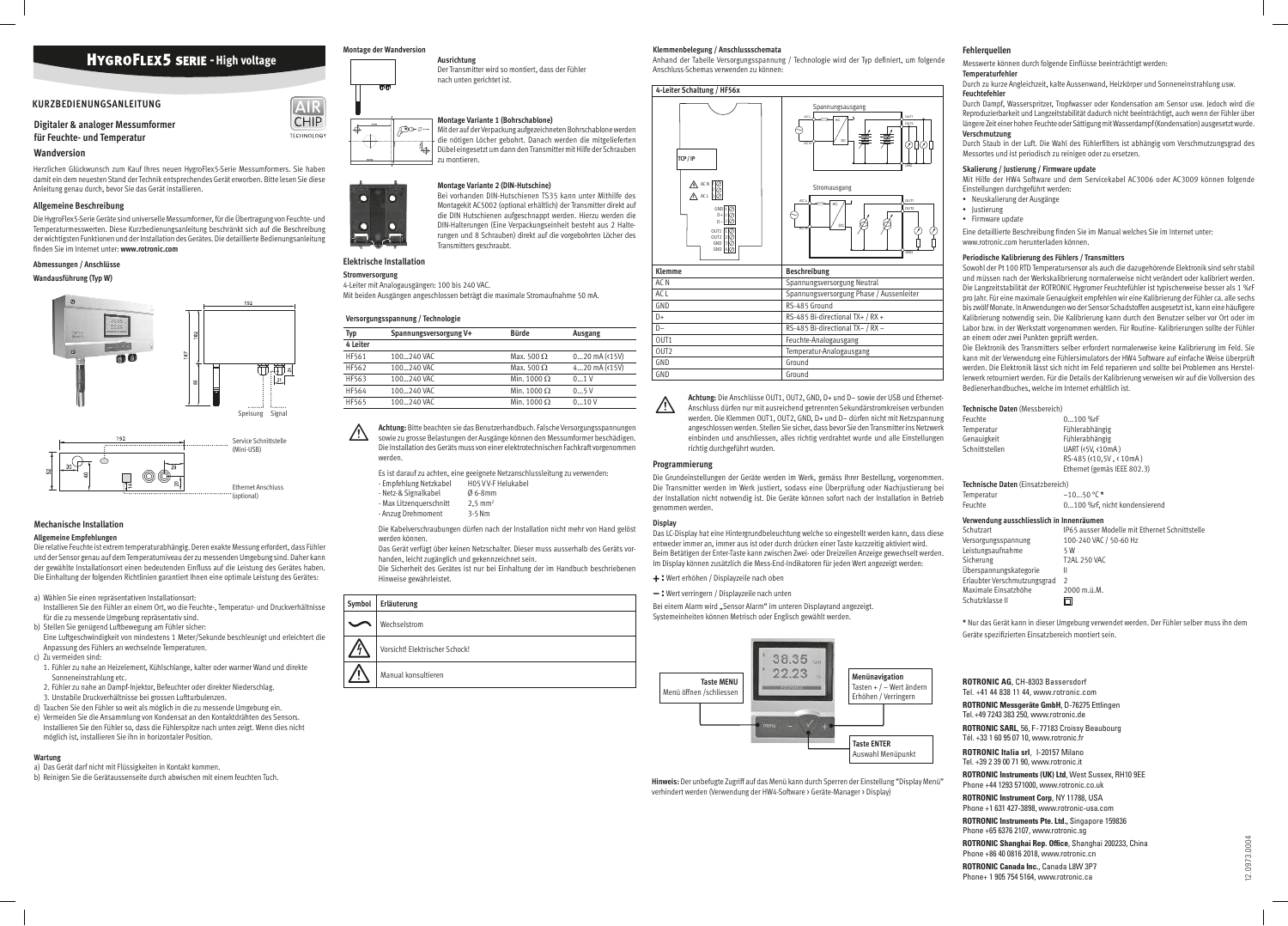**ROTRONIC AG**, CH-8303 Bassersdorf Tel. +41 44 838 11 44, www.rotronic.com **ROTRONIC Messgeräte GmbH**, D-76275 Ettlingen Tel. +49 7243 383 250, www.rotronic.de **ROTRONIC SARL**, 56, F - 77183 Croissy Beaubourg Tél. +33 1 60 95 07 10, www.rotronic.fr **ROTRONIC Italia srl**, I-20157 Milano Tel. +39 2 39 00 71 90, www.rotronic.it **ROTRONIC Instruments (UK) Ltd**, West Sussex, RH10 9EE Phone +44 1293 571000, www.rotronic.co.uk **ROTRONIC Instrument Corp**, NY 11788, USA Phone +1 631 427-3898, www.rotronic-usa.com **ROTRONIC Instruments Pte. Ltd.,** Singapore 159836 Phone +65 6376 2107, www.rotronic.sg **ROTRONIC Shanghai Rep. Office**, Shanghai 200233, China Phone +86 40 0816 2018, www.rotronic.cn **ROTRONIC Canada Inc.**, Canada L8W 3P7 Phone+ 1 905 754 5164, www.rotronic.ca

**Digitaler & analoger Messumformer für Feuchte- und Temperatur**

#### **Wandversion**

Herzlichen Glückwunsch zum Kauf Ihres neuen HygroFlex5-Serie Messumformers. Sie haben damit ein dem neuesten Stand der Technik entsprechendes Gerät erworben. Bitte lesen Sie diese Anleitung genau durch, bevor Sie das Gerät installieren.

#### **Allgemeine Beschreibung**

Die HygroFlex5-Serie Geräte sind universelle Messumformer, für die Übertragung von Feuchte- und Temperaturmesswerten. Diese Kurzbedienungsanleitung beschränkt sich auf die Beschreibung der wichtigsten Funktionen und der Installation des Gerätes. Die detaillierte Bedienungsanleitung inden Sie im Internet unter: **www.rotronic.com**

#### **Abmessungen / Anschlüsse**

#### **Wandausführung (Typ W)**

#### **Mechanische Installation**

#### **Allgemeine Empfehlungen**

Die relative Feuchte ist extrem temperaturabhängig. Deren exakte Messung erfordert, dass Fühler und der Sensor genau auf dem Temperaturniveau der zu messenden Umgebung sind. Daher kann der gewählte Installationsort einen bedeutenden Einfluss auf die Leistung des Gerätes haben. Die Einhaltung der folgenden Richtlinien garantiert Ihnen eine optimale Leistung des Gerätes:

#### a) Wählen Sie einen repräsentativen Installationsort:

 $\overline{\mathbb{A}}$ **Achtung:** Bitte beachten sie das Benutzerhandbuch. Falsche Versorgungsspannungen sowie zu grosse Belastungen der Ausgänge können den Messumformer beschädigen. Die Installation des Geräts muss von einer elektrotechnischen Fachkraft vorgenommen werden.

Es ist darauf zu achten, eine geeignete Netzanschlussleitung zu verwenden:<br>- Empfehlung Netzkahel BOSVV-E Helukahel - Empfehlung Netzkabel

- 
- Netz-& Signalkabel Ø 6-8mm<br>- Max Litzenguerschnitt 2,5 mm<sup>2</sup>
- Max Litzenquerschnitt
- Anzug Drehmoment 3-5 Nm

- Installieren Sie den Fühler an einem Ort, wo die Feuchte-, Temperatur- und Druckverhältnisse für die zu messende Umgebung repräsentativ sind.
- b) Stellen Sie genügend Luftbewegung am Fühler sicher:
- Eine Luftgeschwindigkeit von mindestens 1 Meter/Sekunde beschleunigt und erleichtert die Anpassung des Fühlers an wechselnde Temperaturen.
- c) Zu vermeiden sind:
- 1. Fühler zu nahe an Heizelement, Kühlschlange, kalter oder warmer Wand und direkte Sonneneinstrahlung etc.
- 2. Fühler zu nahe an Dampf-Injektor, Befeuchter oder direkter Niederschlag.
- 3. Unstabile Druckverhältnisse bei grossen Luftturbulenzen.
- d) Tauchen Sie den Fühler so weit als möglich in die zu messende Umgebung ein.
- e) Vermeiden Sie die Ansammlung von Kondensat an den Kontaktdrähten des Sensors. Installieren Sie den Fühler so, dass die Fühlerspitze nach unten zeigt. Wenn dies nicht möglich ist, installieren Sie ihn in horizontaler Position.

#### **Wartung**

- a) Das Gerät darf nicht mit Flüssigkeiten in Kontakt kommen.
- b) Reinigen Sie die Gerätaussenseite durch abwischen mit einem feuchten Tuch.

### **Montage der Wandversion**



 $[AIR]$ **CHIP** 

**TECHNOLOGY** 

**Ausrichtung**

## Der Transmitter wird so montiert, dass der Fühler nach unten gerichtet ist.

Bei einem Alarm wird "Sensor Alarm" im unteren Displayrand angezeigt. Systemeinheiten können Metrisch oder Englisch gewählt werden.

#### **Montage Variante 1 (Bohrschablone)** Mit der auf der Verpackung aufgezeichneten Bohrschablone werden





die nötigen Löcher gebohrt. Danach werden die mitgelieferten Dübel eingesetzt um dann den Transmitter mit Hilfe der Schrauben

zu montieren.

∄∆

**Montage Variante 2 (DIN-Hutschine)** Bei vorhanden DIN-Hutschienen TS35 kann unter Mithilfe des Montagekit AC5002 (optional erhältlich) der Transmitter direkt auf die DIN Hutschienen aufgeschnappt werden. Hierzu werden die DIN-Halterungen (Eine Verpackungseinheit besteht aus 2 Halterungen und 8 Schrauben) direkt auf die vorgebohrten Löcher des Transmitters geschraubt.

Eine detaillierte Beschreibung finden Sie im Manual welches Sie im Internet unter: www.rotronic.com herunterladen können.

#### **Elektrische Installation**

#### **Stromversorgung**

4-Leiter mit Analogausgängen: 100 bis 240 VAC.

Mit beiden Ausgängen angeschlossen beträgt die maximale Stromaufnahme 50 mA.

#### **Versorgungsspannung / Technologie**

| <b>Typ</b> | Spannungsversorgung V+ | <b>Bürde</b>       | Ausgang              |
|------------|------------------------|--------------------|----------------------|
| 4 Leiter   |                        |                    |                      |
| HF561      | 100240 VAC             | Max. 500 $\Omega$  | $020$ mA $($ 15 $V)$ |
| HF562      | 100240 VAC             | Max. 500 $\Omega$  | 420 $mA(15V)$        |
| HF563      | 100240 VAC             | Min. 1000 $\Omega$ | 0.1V                 |
| HF564      | 100240 VAC             | Min. 1000 $\Omega$ | 05V                  |
| HF565      | 100240 VAC             | Min. 1000 $\Omega$ | 010V                 |

Die Kabelverschraubungen dürfen nach der Installation nicht mehr von Hand gelöst werden können.

Das Gerät verfügt über keinen Netzschalter. Dieser muss ausserhalb des Geräts vorhanden, leicht zugänglich und gekennzeichnet sein.

Die Sicherheit des Gerätes ist nur bei Einhaltung der im Handbuch beschriebenen Hinweise gewährleistet.

Anhand der Tabelle Versorgungsspannung / Technologie wird der Typ definiert, um folgende Anschluss-Schemas verwenden zu können:

> **Achtung:** Die Anschlüsse OUT1, OUT2, GND, D+ und D– sowie der USB und Ethernet-Anschluss dürfen nur mit ausreichend getrennten Sekundärstromkreisen verbunden werden. Die Klemmen OUT1, OUT2, GND, D+ und D– dürfen nicht mit Netzspannung angeschlossen werden. Stellen Sie sicher, dass bevor Sie den Transmitter ins Netzwerk einbinden und anschliessen, alles richtig verdrahtet wurde und alle Einstellungen richtig durchgeführt wurden.

#### **Programmierung**



Die Grundeinstellungen der Geräte werden im Werk, gemäss Ihrer Bestellung, vorgenommen. Die Transmitter werden im Werk justiert, sodass eine Überprüfung oder Nachjustierung bei der Installation nicht notwendig ist. Die Geräte können sofort nach der Installation in Betrieb genommen werden.

#### **Display**

Das LC-Display hat eine Hintergrundbeleuchtung welche so eingestellt werden kann, dass diese entweder immer an, immer aus ist oder durch drücken einer Taste kurzzeitig aktiviert wird. Beim Betätigen der Enter-Taste kann zwischen Zwei- oder Dreizeilen Anzeige gewechselt werden. Im Display können zusätzlich die Mess-End-Indikatoren für jeden Wert angezeigt werden:

- **+ :** Wert erhöhen / Displayzeile nach oben
- **:** Wert verringern / Displayzeile nach unten



**Hinweis:** Der unbefugte Zugriff auf das Menü kann durch Sperren der Einstellung "Display Menü" verhindert werden (Verwendung der HW4-Software > Geräte-Manager > Display)

#### **Fehlerquellen**

Messwerte können durch folgende Einflüsse beeinträchtigt werden:

#### **Temperaturfehler**

Durch zu kurze Angleichzeit, kalte Aussenwand, Heizkörper und Sonneneinstrahlung usw.

### **Feuchtefehler**

Durch Dampf, Wasserspritzer, Tropfwasser oder Kondensation am Sensor usw. Jedoch wird die Reproduzierbarkeit und Langzeitstabilität dadurch nicht beeinträchtigt, auch wenn der Fühler über längere Zeit einer hohen Feuchte oder Sättigung mit Wasserdampf (Kondensation) ausgesetzt wurde. **Verschmutzung**

Durch Staub in der Luft. Die Wahl des Fühlerilters ist abhängig vom Verschmutzungsgrad des Messortes und ist periodisch zu reinigen oder zu ersetzen.

#### **Skalierung / Justierung / Firmware update**

Mit Hilfe der HW4 Software und dem Servicekabel AC3006 oder AC3009 können folgende Einstellungen durchgeführt werden:

- Neuskalierung der Ausgänge
- Justierung
- Firmware update

#### **Periodische Kalibrierung des Fühlers / Transmitters**

Sowohl der Pt 100 RTD Temperatursensor als auch die dazugehörende Elektronik sind sehr stabil und müssen nach der Werkskalibrierung normalerweise nicht verändert oder kalibriert werden. Die Langzeitstabilität der ROTRONIC Hygromer Feuchtefühler ist typischerweise besser als 1 %rF pro Jahr. Für eine maximale Genauigkeit empfehlen wir eine Kalibrierung der Fühler ca. alle sechs bis zwölf Monate. In Anwendungen wo der Sensor Schadstoffen ausgesetzt ist, kann eine häufigere Kalibrierung notwendig sein. Die Kalibrierung kann durch den Benutzer selber vor Ort oder im Labor bzw. in der Werkstatt vorgenommen werden. Für Routine- Kalibrierungen sollte der Fühler an einem oder zwei Punkten geprüft werden.

Die Elektronik des Transmitters selber erfordert normalerweise keine Kalibrierung im Feld. Sie kann mit der Verwendung eine Fühlersimulators der HW4 Software auf einfache Weise überprüft werden. Die Elektronik lässt sich nicht im Feld reparieren und sollte bei Problemen ans Herstellerwerk retourniert werden. Für die Details der Kalibrierung verweisen wir auf die Vollversion des Bedienerhandbuches, welche im Internet erhältlich ist.

| Technische Daten (Messbereich)            |                                                |
|-------------------------------------------|------------------------------------------------|
| Feuchte                                   | $0100$ %rF                                     |
| Temperatur                                | Fühlerabhängig                                 |
| Genauigkeit                               | Fühlerabhängig                                 |
| Schnittstellen                            | UART (<5V, <10mA)                              |
|                                           | RS-485 (<10.5V, < 10mA)                        |
|                                           | Ethernet (gemäs IEEE 802.3)                    |
| Technische Daten (Einsatzbereich)         |                                                |
| Temperatur                                | $-1050$ °C *                                   |
| Feuchte                                   | 0100 %rF, nicht kondensierend                  |
| Verwendung ausschliesslich in Innenräumen |                                                |
| Schutzart                                 | IP65 ausser Modelle mit Ethernet Schnittstelle |
| Versorgungsspannung                       | 100-240 VAC / 50-60 Hz                         |
| Leistungsaufnahme                         | 5 W                                            |
| Sicherung                                 | <b>T2AL 250 VAC</b>                            |
| Überspannungskategorie                    | Ш                                              |
| Erlaubter Verschmutzungsgrad              | $\mathfrak{D}$                                 |
| Maximale Einsatzhöhe                      | 2000 m.ü.M.                                    |
| Schutzklasse II                           |                                                |
|                                           |                                                |

**\*** Nur das Gerät kann in dieser Umgebung verwendet werden. Der Fühler selber muss ihn dem Geräte speziizierten Einsatzbereich montiert sein.

# **HYGROFLEX5 SERIE - High voltage**

#### **KURZBEDIENUNGSANLEITUNG**

#### **Klemmenbelegung / Anschlussschemata**





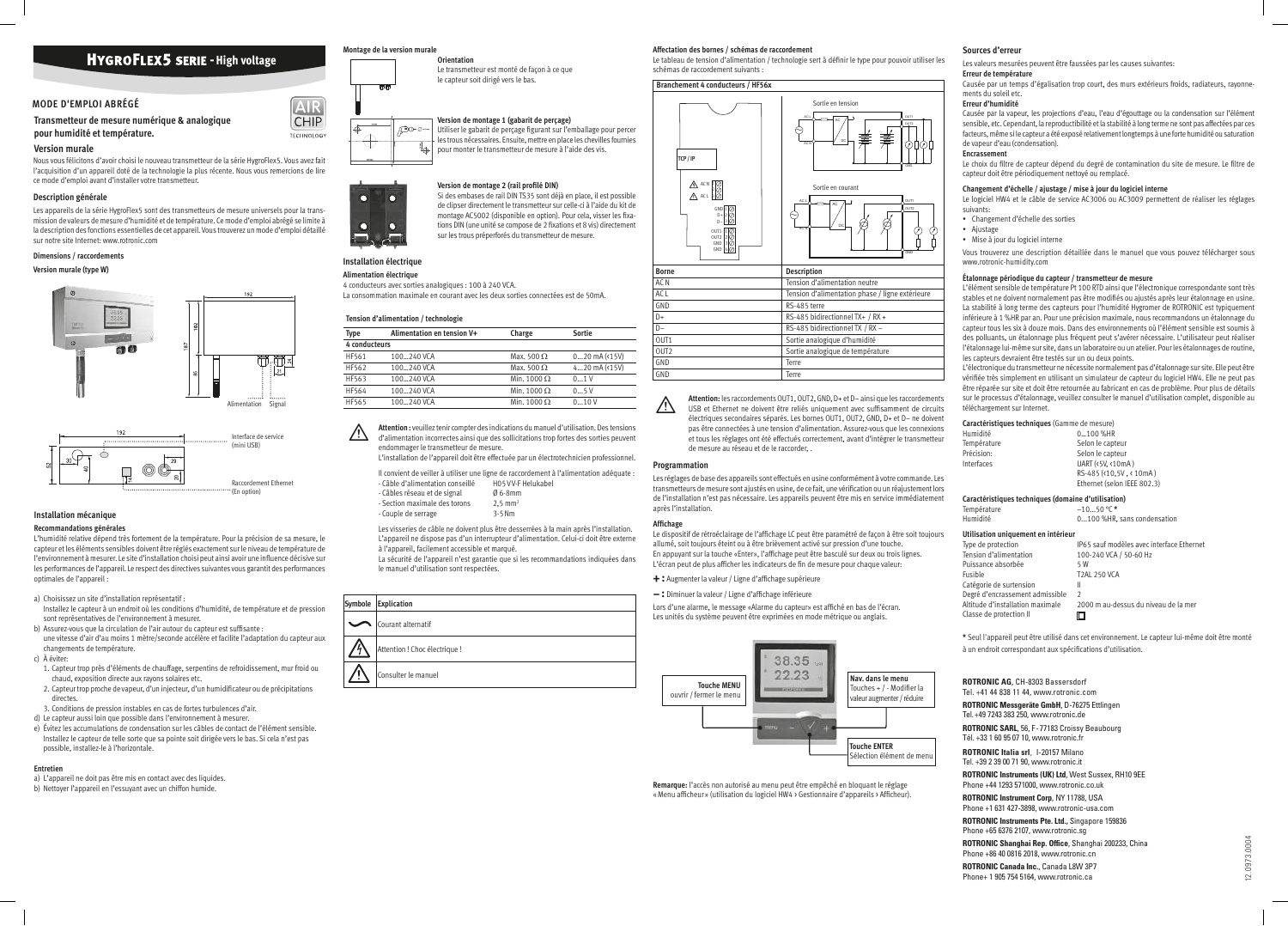**ROTRONIC AG**, CH-8303 Bassersdorf Tel. +41 44 838 11 44, www.rotronic.com **ROTRONIC Messgeräte GmbH**, D-76275 Ettlingen Tel. +49 7243 383 250, www.rotronic.de **ROTRONIC SARL**, 56, F - 77183 Croissy Beaubourg Tél. +33 1 60 95 07 10, www.rotronic.fr **ROTRONIC Italia srl**, I-20157 Milano Tel. +39 2 39 00 71 90, www.rotronic.it **ROTRONIC Instruments (UK) Ltd**, West Sussex, RH10 9EE Phone +44 1293 571000, www.rotronic.co.uk **ROTRONIC Instrument Corp**, NY 11788, USA Phone +1 631 427-3898, www.rotronic-usa.com **ROTRONIC Instruments Pte. Ltd.,** Singapore 159836 Phone +65 6376 2107, www.rotronic.sg **ROTRONIC Shanghai Rep. Office**, Shanghai 200233, China Phone +86 40 0816 2018, www.rotronic.cn **ROTRONIC Canada Inc.**, Canada L8W 3P7 Phone+ 1 905 754 5164, www.rotronic.ca



#### **Transmetteur de mesure numérique & analogique pour humidité et température.**

#### **Version murale**

Nous vous félicitons d'avoir choisi le nouveau transmetteur de la série HygroFlex5. Vous avez fait l'acquisition d'un appareil doté de la technologie la plus récente. Nous vous remercions de lire ce mode d'emploi avant d'installer votre transmetteur.

#### **Description générale**

Les appareils de la série HygroFlex5 sont des transmetteurs de mesure universels pour la transmission de valeurs de mesure d'humidité et de température. Ce mode d'emploi abrégé se limite à la description des fonctions essentielles de cet appareil. Vous trouverez un mode d'emploi détaillé sur notre site Internet: www.rotronic.com

#### **Dimensions / raccordements**

#### **Version murale (type W)**

#### **Installation mécanique**

**Recommandations générales**

# **Version de montage 1 (gabarit de perçage)** Utiliser le gabarit de percage figurant sur l'emballage pour percer

L'humidité relative dépend très fortement de la température. Pour la précision de sa mesure, le capteur et les éléments sensibles doivent être réglés exactement sur le niveau de température de l'environnement à mesurer. Le site d'installation choisi peut ainsi avoir une influence décisive sur les performances de l'appareil. Le respect des directives suivantes vous garantit des performances optimales de l'appareil :

**Version de montage 2 (rail profilé DIN)** Si des embases de rail DIN TS35 sont déjà en place, il est possible de clipser directement le transmetteur sur celle-ci à l'aide du kit de montage AC5002 (disponible en option). Pour cela, visser les fixations DIN (une unité se compose de 2 fixations et 8 vis) directement sur les trous préperforés du transmetteur de mesure.

a) Choisissez un site d'installation représentatif :

- Installez le capteur à un endroit où les conditions d'humidité, de température et de pression sont représentatives de l'environnement à mesurer.
- b) Assurez-vous que la circulation de l'air autour du capteur est sufisante : une vitesse d'air d'au moins 1 mètre/seconde accélère et facilite l'adaptation du capteur aux changements de température.

 $\overline{\mathbb{A}}$ **Attention :** veuillez tenir compter des indications du manuel d'utilisation. Des tensions d'alimentation incorrectes ainsi que des sollicitations trop fortes des sorties peuvent endommager le transmetteur de mesure. L'installation de l'appareil doit être effectuée par un électrotechnicien professionnel.

Il convient de veiller à utiliser une ligne de raccordement à l'alimentation adéquate :<br>- Câble d'alimentation conseillé de ROS VV-E Helukabel - Câble d'alimentation conseillé

c) À éviter:

- 
- Câbles réseau et de signal  $\emptyset$  6-8mm<br>- Section maximale des torons 2,5 mm<sup>2</sup> - Section maximale des torons - Couple de serrage 3-5 Nm

- 1. Capteur trop près d'éléments de chauffage, serpentins de refroidissement, mur froid ou chaud, exposition directe aux rayons solaires etc.
- 2. Capteur trop proche de vapeur, d'un injecteur, d'un humidificateur ou de précipitations directes.
- 3. Conditions de pression instables en cas de fortes turbulences d'air.
- d) Le capteur aussi loin que possible dans l'environnement à mesurer.
- e) Évitez les accumulations de condensation sur les câbles de contact de l'élément sensible. Installez le capteur de telle sorte que sa pointe soit dirigée vers le bas. Si cela n'est pas possible, installez-le à l'horizontale.

Le dispositif de rétroéclairage de l'afichage LC peut être paramétré de façon à être soit toujours allumé, soit toujours éteint ou à être brièvement activé sur pression d'une touche. En appuyant sur la touche «Enter», l'afichage peut être basculé sur deux ou trois lignes. L'écran peut de plus afficher les indicateurs de fin de mesure pour chaque valeur:

#### **Entretien**

- a) L'appareil ne doit pas être mis en contact avec des liquides.
- b) Nettoyer l'appareil en l'essuyant avec un chiffon humide.

#### **Montage de la version murale**



AIR **CHIP** 

TECHNOLOGY

**Orientation**

Le transmetteur est monté de façon à ce que le capteur soit dirigé vers le bas.





**Section** 

les trous nécessaires. Ensuite, mettre en place les chevilles fournies pour monter le transmetteur de mesure à l'aide des vis.

> Le choix du filtre de capteur dépend du degré de contamination du site de mesure. Le filtre de capteur doit être périodiquement nettoyé ou remplacé.

#### **Installation électrique**

#### **Alimentation électrique**

4 conducteurs avec sorties analogiques : 100 à 240 VCA. La consommation maximale en courant avec les deux sorties connectées est de 50mA.

#### **Tension d'alimentation / technologie**

| <b>Type</b>   | Alimentation en tension V+ | Charge             | <b>Sortie</b>        |
|---------------|----------------------------|--------------------|----------------------|
| 4 conducteurs |                            |                    |                      |
| HF561         | 100240 VCA                 | Max. 500 $\Omega$  | $020$ mA $($ 15 $V)$ |
| HF562         | 100240 VCA                 | Max. 500 $\Omega$  | 420 $mA(15V)$        |
| HF563         | 100240 VCA                 | Min. 1000 $\Omega$ | 01V                  |
| HF564         | 100240 VCA                 | Min. 1000 $\Omega$ | 05V                  |
| HF565         | 100240 VCA                 | Min. 1000 $\Omega$ | 010V                 |

Altitude d'installation maximale 2000 m au-dessus du niveau de la mer  $\Box$ 

**\*** Seul l'appareil peut être utilisé dans cet environnement. Le capteur lui-même doit être monté à un endroit correspondant aux spécifications d'utilisation

Les visseries de câble ne doivent plus être desserrées à la main après l'installation. L'appareil ne dispose pas d'un interrupteur d'alimentation. Celui-ci doit être externe à l'appareil, facilement accessible et marqué.

La sécurité de l'appareil n'est garantie que si les recommandations indiquées dans le manuel d'utilisation sont respectées.

Le tableau de tension d'alimentation / technologie sert à définir le type pour pouvoir utiliser les schémas de raccordement suivants :

|   | Symbole Explication           |
|---|-------------------------------|
|   | Courant alternatif            |
| и | Attention ! Choc électrique ! |
|   | Consulter le manuel           |
|   |                               |

**Attention:** les raccordements OUT1, OUT2, GND, D+ et D– ainsi que les raccordements USB et Ethernet ne doivent être reliés uniquement avec sufisamment de circuits électriques secondaires séparés. Les bornes OUT1, OUT2, GND, D+ et D– ne doivent pas être connectées à une tension d'alimentation. Assurez-vous que les connexions et tous les réglages ont été effectués correctement, avant d'intégrer le transmetteur de mesure au réseau et de le raccorder, .

#### **Programmation**



Les réglages de base des appareils sont effectués en usine conformément à votre commande. Les transmetteurs de mesure sont ajustés en usine, de ce fait, une vériication ou un réajustement lors de l'installation n'est pas nécessaire. Les appareils peuvent être mis en service immédiatement après l'installation.

#### **Afichage**

- **+ :** Augmenter la valeur / Ligne d'afichage supérieure
- **:** Diminuer la valeur / Ligne d'afichage inférieure

Lors d'une alarme, le message «Alarme du capteur» est afiché en bas de l'écran. Les unités du système peuvent être exprimées en mode métrique ou anglais.



**Remarque:** l'accès non autorisé au menu peut être empêché en bloquant le réglage « Menu aficheur » (utilisation du logiciel HW4 > Gestionnaire d'appareils > Aficheur).

#### **Sources d'erreur**

Les valeurs mesurées peuvent être faussées par les causes suivantes:

### **Erreur de température**

Causée par un temps d'égalisation trop court, des murs extérieurs froids, radiateurs, rayonnements du soleil etc.

#### **Erreur d'humidité**

Causée par la vapeur, les projections d'eau, l'eau d'égouttage ou la condensation sur l'élément sensible, etc. Cependant, la reproductibilité et la stabilité à long terme ne sont pas affectées par ces facteurs, même si le capteur a été exposé relativement longtemps à une forte humidité ou saturation de vapeur d'eau (condensation).

#### **Encrassement**

#### **Changement d'échelle / ajustage / mise à jour du logiciel interne**

Le logiciel HW4 et le câble de service AC3006 ou AC3009 permettent de réaliser les réglages suivants:

- Changement d'échelle des sorties
- Ajustage
- Mise à jour du logiciel interne

Vous trouverez une description détaillée dans le manuel que vous pouvez télécharger sous www.rotronic-humidity.com

#### **Étalonnage périodique du capteur / transmetteur de mesure**

L'élément sensible de température Pt 100 RTD ainsi que l'électronique correspondante sont très stables et ne doivent normalement pas être modifiés ou ajustés après leur étalonnage en usine. La stabilité à long terme des capteurs pour l'humidité Hygromer de ROTRONIC est typiquement inférieure à 1 %HR par an. Pour une précision maximale, nous recommandons un étalonnage du capteur tous les six à douze mois. Dans des environnements où l'élément sensible est soumis à des polluants, un étalonnage plus fréquent peut s'avérer nécessaire. L'utilisateur peut réaliser l'étalonnage lui-même sur site, dans un laboratoire ou un atelier. Pour les étalonnages de routine, les capteurs devraient être testés sur un ou deux points.

L'électronique du transmetteur ne nécessite normalement pas d'étalonnage sur site. Elle peut être vérifiée très simplement en utilisant un simulateur de capteur du logiciel HW4. Elle ne peut pas être réparée sur site et doit être retournée au fabricant en cas de problème. Pour plus de détails sur le processus d'étalonnage, veuillez consulter le manuel d'utilisation complet, disponible au téléchargement sur Internet.

#### **Caractéristiques techniques** (Gamme de mesure)

| Humidité    | 0100 %HR                    |
|-------------|-----------------------------|
| Température | Selon le capteur            |
| Précision:  | Selon le capteur            |
| Interfaces  | UART (<5V, <10mA)           |
|             | RS-485 (<10.5V, < 10mA)     |
|             | Ethernet (selon IEEE 802.3) |
|             |                             |

**Caractéristiques techniques (domaine d'utilisation)**

| Température                         | $-1050$ °C *                              |
|-------------------------------------|-------------------------------------------|
| Humidité                            | 0100 %HR, sans condensation               |
| Utilisation uniquement en intérieur |                                           |
| Type de protection                  | IP65 sauf modèles avec interface Ethernet |
| Tension d'alimentation              | 100-240 VCA / 50-60 Hz                    |
| Puissance absorbée                  | 5 W                                       |
| Fusible                             | <b>T2AL 250 VCA</b>                       |
| Catégorie de surtension             | Ш                                         |
| Degré d'encrassement admissible     | C                                         |
|                                     |                                           |

Classe de protection II

# **HYGROFLEX5 SERIE - High voltage**

#### **MODE D'EMPLOI ABRÉGÉ**

#### **Affectation des bornes / schémas de raccordement**